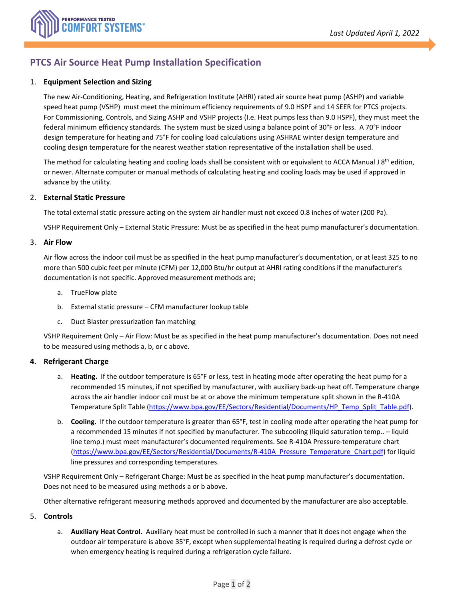

# **PTCS Air Source Heat Pump Installation Specification**

## 1. **Equipment Selection and Sizing**

The new Air-Conditioning, Heating, and Refrigeration Institute (AHRI) rated air source heat pump (ASHP) and variable speed heat pump (VSHP) must meet the minimum efficiency requirements of 9.0 HSPF and 14 SEER for PTCS projects. For Commissioning, Controls, and Sizing ASHP and VSHP projects (I.e. Heat pumps less than 9.0 HSPF), they must meet the federal minimum efficiency standards. The system must be sized using a balance point of 30°F or less. A 70°F indoor design temperature for heating and 75°F for cooling load calculations using ASHRAE winter design temperature and cooling design temperature for the nearest weather station representative of the installation shall be used.

The method for calculating heating and cooling loads shall be consistent with or equivalent to ACCA Manual J 8<sup>th</sup> edition, or newer. Alternate computer or manual methods of calculating heating and cooling loads may be used if approved in advance by the utility.

#### 2. **External Static Pressure**

The total external static pressure acting on the system air handler must not exceed 0.8 inches of water (200 Pa).

VSHP Requirement Only – External Static Pressure: Must be as specified in the heat pump manufacturer's documentation.

#### 3. **Air Flow**

Air flow across the indoor coil must be as specified in the heat pump manufacturer's documentation, or at least 325 to no more than 500 cubic feet per minute (CFM) per 12,000 Btu/hr output at AHRI rating conditions if the manufacturer's documentation is not specific. Approved measurement methods are;

- a. TrueFlow plate
- b. External static pressure CFM manufacturer lookup table
- c. Duct Blaster pressurization fan matching

VSHP Requirement Only – Air Flow: Must be as specified in the heat pump manufacturer's documentation. Does not need to be measured using methods a, b, or c above.

#### **4. Refrigerant Charge**

- a. **Heating.** If the outdoor temperature is 65°F or less, test in heating mode after operating the heat pump for a recommended 15 minutes, if not specified by manufacturer, with auxiliary back-up heat off. Temperature change across the air handler indoor coil must be at or above the minimum temperature split shown in the R-410A Temperature Split Table [\(https://www.bpa.gov/EE/Sectors/Residential/Documents/HP\\_Temp\\_Split\\_Table.pdf\)](https://www.bpa.gov/EE/Sectors/Residential/Documents/HP_Temp_Split_Table.pdf).
- b. **Cooling.** If the outdoor temperature is greater than 65°F, test in cooling mode after operating the heat pump for a recommended 15 minutes if not specified by manufacturer. The subcooling (liquid saturation temp.. – liquid line temp.) must meet manufacturer's documented requirements. See R-410A Pressure-temperature chart [\(https://www.bpa.gov/EE/Sectors/Residential/Documents/R-410A\\_Pressure\\_Temperature\\_Chart.pdf\)](https://www.bpa.gov/EE/Sectors/Residential/Documents/R-410A_Pressure_Temperature_Chart.pdf) for liquid line pressures and corresponding temperatures.

VSHP Requirement Only – Refrigerant Charge: Must be as specified in the heat pump manufacturer's documentation. Does not need to be measured using methods a or b above.

Other alternative refrigerant measuring methods approved and documented by the manufacturer are also acceptable.

#### 5. **Controls**

a. **Auxiliary Heat Control.** Auxiliary heat must be controlled in such a manner that it does not engage when the outdoor air temperature is above 35°F, except when supplemental heating is required during a defrost cycle or when emergency heating is required during a refrigeration cycle failure.